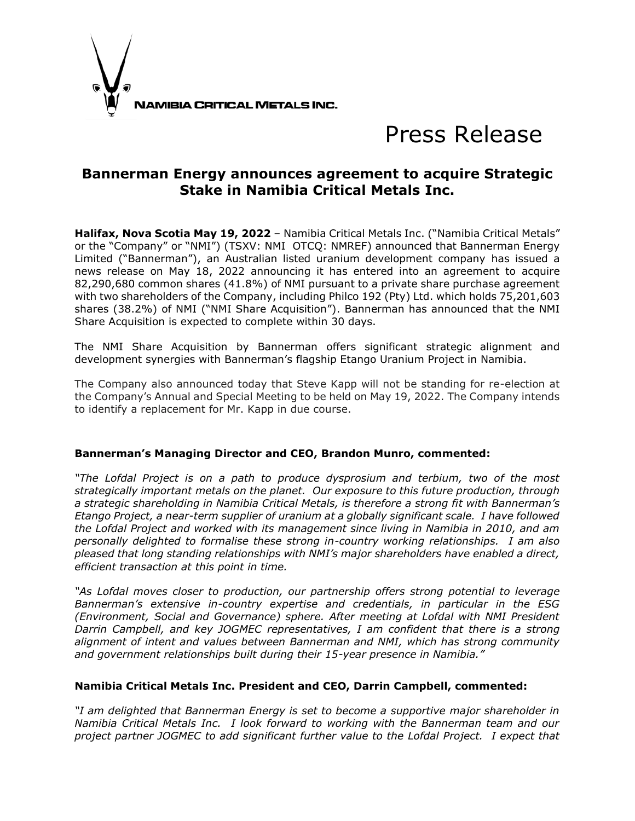

# Press Release

## **Bannerman Energy announces agreement to acquire Strategic Stake in Namibia Critical Metals Inc.**

**Halifax, Nova Scotia May 19, 2022** – Namibia Critical Metals Inc. ("Namibia Critical Metals" or the "Company" or "NMI") (TSXV: NMI OTCQ: NMREF) announced that Bannerman Energy Limited ("Bannerman"), an Australian listed uranium development company has issued a news release on May 18, 2022 announcing it has entered into an agreement to acquire 82,290,680 common shares (41.8%) of NMI pursuant to a private share purchase agreement with two shareholders of the Company, including Philco 192 (Pty) Ltd. which holds 75,201,603 shares (38.2%) of NMI ("NMI Share Acquisition"). Bannerman has announced that the NMI Share Acquisition is expected to complete within 30 days.

The NMI Share Acquisition by Bannerman offers significant strategic alignment and development synergies with Bannerman's flagship Etango Uranium Project in Namibia.

The Company also announced today that Steve Kapp will not be standing for re-election at the Company's Annual and Special Meeting to be held on May 19, 2022. The Company intends to identify a replacement for Mr. Kapp in due course.

#### **Bannerman's Managing Director and CEO, Brandon Munro, commented:**

*"The Lofdal Project is on a path to produce dysprosium and terbium, two of the most strategically important metals on the planet. Our exposure to this future production, through a strategic shareholding in Namibia Critical Metals, is therefore a strong fit with Bannerman's Etango Project, a near-term supplier of uranium at a globally significant scale. I have followed the Lofdal Project and worked with its management since living in Namibia in 2010, and am personally delighted to formalise these strong in-country working relationships. I am also pleased that long standing relationships with NMI's major shareholders have enabled a direct, efficient transaction at this point in time.*

*"As Lofdal moves closer to production, our partnership offers strong potential to leverage Bannerman's extensive in-country expertise and credentials, in particular in the ESG (Environment, Social and Governance) sphere. After meeting at Lofdal with NMI President Darrin Campbell, and key JOGMEC representatives, I am confident that there is a strong alignment of intent and values between Bannerman and NMI, which has strong community and government relationships built during their 15-year presence in Namibia."*

#### **Namibia Critical Metals Inc. President and CEO, Darrin Campbell, commented:**

*"I am delighted that Bannerman Energy is set to become a supportive major shareholder in Namibia Critical Metals Inc. I look forward to working with the Bannerman team and our project partner JOGMEC to add significant further value to the Lofdal Project. I expect that*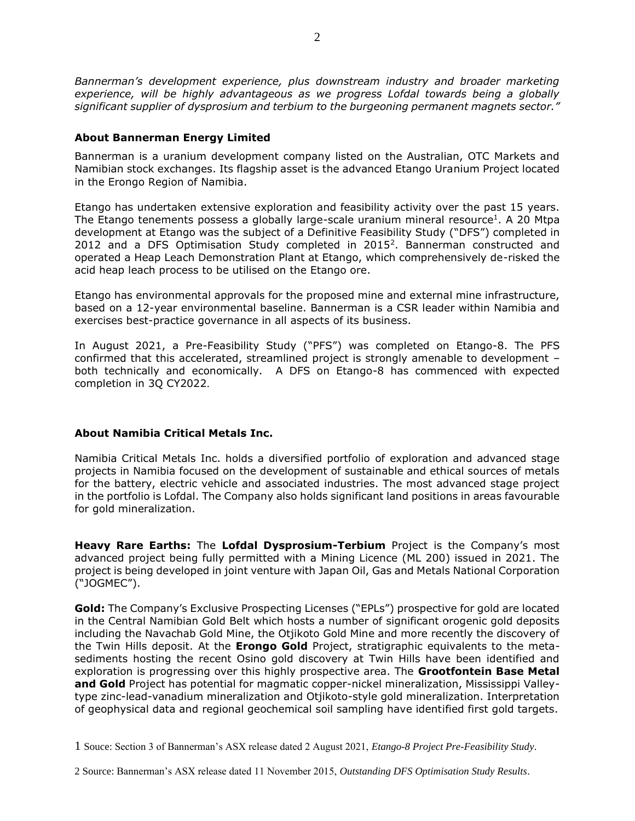*Bannerman's development experience, plus downstream industry and broader marketing experience, will be highly advantageous as we progress Lofdal towards being a globally significant supplier of dysprosium and terbium to the burgeoning permanent magnets sector."*

#### **About Bannerman Energy Limited**

Bannerman is a uranium development company listed on the Australian, OTC Markets and Namibian stock exchanges. Its flagship asset is the advanced Etango Uranium Project located in the Erongo Region of Namibia.

Etango has undertaken extensive exploration and feasibility activity over the past 15 years. The Etango tenements possess a globally large-scale uranium mineral resource<sup>1</sup>. A 20 Mtpa development at Etango was the subject of a Definitive Feasibility Study ("DFS") completed in 2012 and a DFS Optimisation Study completed in 2015<sup>2</sup>. Bannerman constructed and operated a Heap Leach Demonstration Plant at Etango, which comprehensively de-risked the acid heap leach process to be utilised on the Etango ore.

Etango has environmental approvals for the proposed mine and external mine infrastructure, based on a 12-year environmental baseline. Bannerman is a CSR leader within Namibia and exercises best-practice governance in all aspects of its business.

In August 2021, a Pre-Feasibility Study ("PFS") was completed on Etango-8. The PFS confirmed that this accelerated, streamlined project is strongly amenable to development – both technically and economically. A DFS on Etango-8 has commenced with expected completion in 3Q CY2022.

### **About Namibia Critical Metals Inc.**

Namibia Critical Metals Inc. holds a diversified portfolio of exploration and advanced stage projects in Namibia focused on the development of sustainable and ethical sources of metals for the battery, electric vehicle and associated industries. The most advanced stage project in the portfolio is Lofdal. The Company also holds significant land positions in areas favourable for gold mineralization.

**Heavy Rare Earths:** The **Lofdal Dysprosium-Terbium** Project is the Company's most advanced project being fully permitted with a Mining Licence (ML 200) issued in 2021. The project is being developed in joint venture with Japan Oil, Gas and Metals National Corporation ("JOGMEC").

**Gold:** The Company's Exclusive Prospecting Licenses ("EPLs") prospective for gold are located in the Central Namibian Gold Belt which hosts a number of significant orogenic gold deposits including the Navachab Gold Mine, the Otjikoto Gold Mine and more recently the discovery of the Twin Hills deposit. At the **Erongo Gold** Project, stratigraphic equivalents to the metasediments hosting the recent Osino gold discovery at Twin Hills have been identified and exploration is progressing over this highly prospective area. The **Grootfontein Base Metal and Gold** Project has potential for magmatic copper-nickel mineralization, Mississippi Valleytype zinc-lead-vanadium mineralization and Otjikoto-style gold mineralization. Interpretation of geophysical data and regional geochemical soil sampling have identified first gold targets.

<sup>1</sup> Souce: Section 3 of Bannerman's ASX release dated 2 August 2021, *Etango-8 Project Pre-Feasibility Study*.

<sup>2</sup> Source: Bannerman's ASX release dated 11 November 2015, *Outstanding DFS Optimisation Study Results*.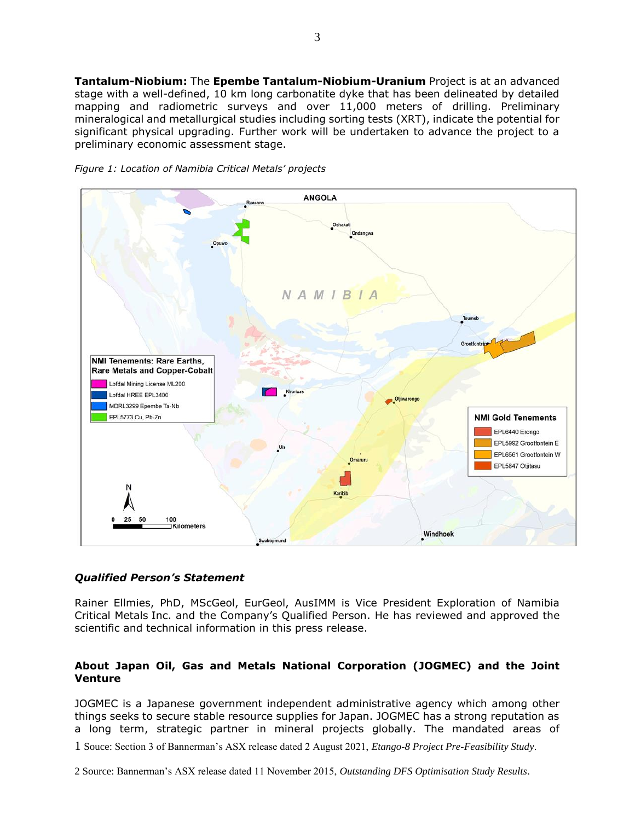**Tantalum-Niobium:** The **Epembe Tantalum-Niobium-Uranium** Project is at an advanced stage with a well-defined, 10 km long carbonatite dyke that has been delineated by detailed mapping and radiometric surveys and over 11,000 meters of drilling. Preliminary mineralogical and metallurgical studies including sorting tests (XRT), indicate the potential for significant physical upgrading. Further work will be undertaken to advance the project to a preliminary economic assessment stage.



*Figure 1: Location of Namibia Critical Metals' projects* 

#### *Qualified Person's Statement*

Rainer Ellmies, PhD, MScGeol, EurGeol, AusIMM is Vice President Exploration of Namibia Critical Metals Inc. and the Company's Qualified Person. He has reviewed and approved the scientific and technical information in this press release.

#### **About Japan Oil, Gas and Metals National Corporation (JOGMEC) and the Joint Venture**

JOGMEC is a Japanese government independent administrative agency which among other things seeks to secure stable resource supplies for Japan. JOGMEC has a strong reputation as a long term, strategic partner in mineral projects globally. The mandated areas of

1 Souce: Section 3 of Bannerman's ASX release dated 2 August 2021, *Etango-8 Project Pre-Feasibility Study*.

2 Source: Bannerman's ASX release dated 11 November 2015, *Outstanding DFS Optimisation Study Results*.